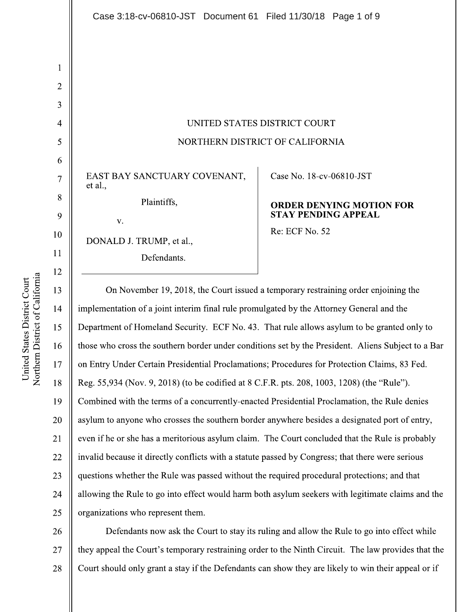UNITED STATES DISTRICT COURT NORTHERN DISTRICT OF CALIFORNIA

EAST BAY SANCTUARY COVENANT, et al. Plaintiffs,

DONALD J. TRUMP, et al., Defendants.

 $V_{\star}$ 

# Case No. 18-cv-06810-JST

# **ORDER DENYING MOTION FOR** STAY PENDING APPEAL

Re: ECF No. 52

On November 19, 2018, the Court issued a temporary restraining order enjoining the implementation of a joint interim final rule promulgated by the Attorney General and the Department of Homeland Security. ECF No. 43. That rule allows asylum to be granted only to those who cross the southern border under conditions set by the President. Aliens Subject to a Bar on Entry Under Certain Presidential Proclamations; Procedures for Protection Claims, 83 Fed. Reg. 55,934 (Nov. 9, 2018) (to be codified at 8 C.F.R. pts. 208, 1003, 1208) (the "Rule"). Combined with the terms of a concurrently-enacted Presidential Proclamation, the Rule denies asylum to anyone who crosses the southern border anywhere besides a designated port of entry, even if he or she has a meritorious asylum claim. The Court concluded that the Rule is probably invalid because it directly conflicts with a statute passed by Congress; that there were serious questions whether the Rule was passed without the required procedural protections; and that allowing the Rule to go into effect would harm both asylum seekers with legitimate claims and the organizations who represent them.

Defendants now ask the Court to stay its ruling and allow the Rule to go into effect while 26 they appeal the Court's temporary restraining order to the Ninth Circuit. The law provides that the 27 28 Court should only grant a stay if the Defendants can show they are likely to win their appeal or if

 $\mathbf{1}$ 

 $\overline{2}$ 

3

 $\overline{4}$ 

5

6

 $\overline{7}$ 

8

9

10

 $11$ 

12

13

14

15

16

17

18

19

20

21

22

23

24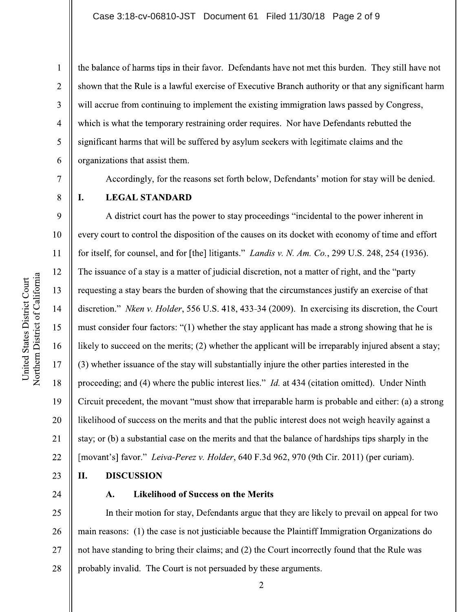the balance of harms tips in their favor. Defendants have not met this burden. They still have not shown that the Rule is a lawful exercise of Executive Branch authority or that any significant harm will accrue from continuing to implement the existing immigration laws passed by Congress, which is what the temporary restraining order requires. Nor have Defendants rebutted the significant harms that will be suffered by asylum seekers with legitimate claims and the organizations that assist them.

Accordingly, for the reasons set forth below, Defendants' motion for stay will be denied.

 $\overline{7}$ 

L.

 $\mathbf{1}$ 

 $\overline{2}$ 

3

 $\overline{4}$ 

5

6

8

9

11

12

13

15

17

18

19

21

22

23

## **LEGAL STANDARD**

A district court has the power to stay proceedings "incidental to the power inherent in every court to control the disposition of the causes on its docket with economy of time and effort 10 for itself, for counsel, and for [the] litigants." *Landis v. N. Am. Co.*, 299 U.S. 248, 254 (1936). The issuance of a stay is a matter of judicial discretion, not a matter of right, and the "party" requesting a stay bears the burden of showing that the circumstances justify an exercise of that 14 discretion." Nken v. Holder, 556 U.S. 418, 433-34 (2009). In exercising its discretion, the Court must consider four factors: "(1) whether the stay applicant has made a strong showing that he is likely to succeed on the merits; (2) whether the applicant will be irreparably injured absent a stay; 16 (3) whether issuance of the stay will substantially injure the other parties interested in the proceeding; and (4) where the public interest lies." *Id.* at 434 (citation omitted). Under Ninth Circuit precedent, the movant "must show that irreparable harm is probable and either: (a) a strong 20 likelihood of success on the merits and that the public interest does not weigh heavily against a stay; or (b) a substantial case on the merits and that the balance of hardships tips sharply in the [movant's] favor." Leiva-Perez v. Holder, 640 F.3d 962, 970 (9th Cir. 2011) (per curiam).

#### II. **DISCUSSION**

24

#### A. **Likelihood of Success on the Merits**

25 In their motion for stay, Defendants argue that they are likely to prevail on appeal for two main reasons: (1) the case is not justiciable because the Plaintiff Immigration Organizations do 26 not have standing to bring their claims; and (2) the Court incorrectly found that the Rule was 27 28 probably invalid. The Court is not persuaded by these arguments.

Northern District of California United States District Court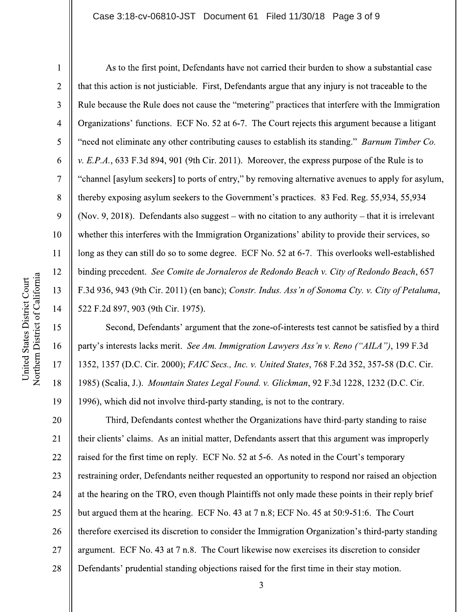$\mathbf{1}$ 

 $\overline{2}$ 

3

 $\overline{4}$ 

5

6

 $\overline{7}$ 

8

9

10

 $11$ 

12

13

14

15

16

17

18

19

As to the first point, Defendants have not carried their burden to show a substantial case that this action is not justiciable. First, Defendants argue that any injury is not traceable to the Rule because the Rule does not cause the "metering" practices that interfere with the Immigration Organizations' functions. ECF No. 52 at 6-7. The Court rejects this argument because a litigant "need not eliminate any other contributing causes to establish its standing." *Barnum Timber Co.* v. E.P.A., 633 F.3d 894, 901 (9th Cir. 2011). Moreover, the express purpose of the Rule is to "channel [asylum seekers] to ports of entry," by removing alternative avenues to apply for asylum, thereby exposing asylum seekers to the Government's practices. 83 Fed. Reg. 55,934, 55,934 (Nov. 9, 2018). Defendants also suggest – with no citation to any authority – that it is irrelevant whether this interferes with the Immigration Organizations' ability to provide their services, so long as they can still do so to some degree. ECF No. 52 at 6-7. This overlooks well-established binding precedent. See Comite de Jornaleros de Redondo Beach v. City of Redondo Beach, 657 F.3d 936, 943 (9th Cir. 2011) (en banc); Constr. Indus. Ass'n of Sonoma Cty. v. City of Petaluma, 522 F.2d 897, 903 (9th Cir. 1975).

Second, Defendants' argument that the zone-of-interests test cannot be satisfied by a third party's interests lacks merit. See Am. Immigration Lawyers Ass'n v. Reno ("AILA"), 199 F.3d 1352, 1357 (D.C. Cir. 2000); FAIC Secs., Inc. v. United States, 768 F.2d 352, 357-58 (D.C. Cir. 1985) (Scalia, J.). Mountain States Legal Found. v. Glickman, 92 F.3d 1228, 1232 (D.C. Cir. 1996), which did not involve third-party standing, is not to the contrary.

20 Third, Defendants contest whether the Organizations have third-party standing to raise 21 their clients' claims. As an initial matter, Defendants assert that this argument was improperly 22 raised for the first time on reply. ECF No. 52 at 5-6. As noted in the Court's temporary 23 restraining order, Defendants neither requested an opportunity to respond nor raised an objection 24 at the hearing on the TRO, even though Plaintiffs not only made these points in their reply brief 25 but argued them at the hearing. ECF No. 43 at 7 n.8; ECF No. 45 at 50:9-51:6. The Court therefore exercised its discretion to consider the Immigration Organization's third-party standing 26 argument. ECF No. 43 at 7 n.8. The Court likewise now exercises its discretion to consider 27 28 Defendants' prudential standing objections raised for the first time in their stay motion.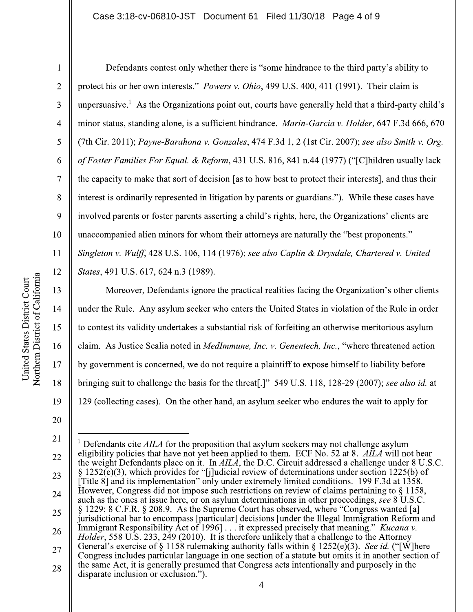Defendants contest only whether there is "some hindrance to the third party's ability to protect his or her own interests." *Powers v. Ohio*, 499 U.S. 400, 411 (1991). Their claim is unpersuasive.<sup>1</sup> As the Organizations point out, courts have generally held that a third-party child's minor status, standing alone, is a sufficient hindrance. Marin-Garcia v. Holder, 647 F.3d 666, 670 (7th Cir. 2011); Payne-Barahona v. Gonzales, 474 F.3d 1, 2 (1st Cir. 2007); see also Smith v. Org. of Foster Families For Equal. & Reform, 431 U.S. 816, 841 n.44 (1977) ("[C] hildren usually lack the capacity to make that sort of decision [as to how best to protect their interests], and thus their interest is ordinarily represented in litigation by parents or guardians."). While these cases have involved parents or foster parents asserting a child's rights, here, the Organizations' clients are unaccompanied alien minors for whom their attorneys are naturally the "best proponents."

Singleton v. Wulff, 428 U.S. 106, 114 (1976); see also Caplin & Drysdale, Chartered v. United States, 491 U.S. 617, 624 n.3 (1989).

Moreover, Defendants ignore the practical realities facing the Organization's other clients under the Rule. Any asylum seeker who enters the United States in violation of the Rule in order to contest its validity undertakes a substantial risk of forfeiting an otherwise meritorious asylum claim. As Justice Scalia noted in MedImmune, Inc. v. Genentech, Inc., "where threatened action by government is concerned, we do not require a plaintiff to expose himself to liability before bringing suit to challenge the basis for the threat[.]" 549 U.S. 118, 128-29 (2007); see also id. at 129 (collecting cases). On the other hand, an asylum seeker who endures the wait to apply for

 $\mathbf{1}$ 

 $\overline{2}$ 

3

 $\overline{4}$ 

5

6

 $\overline{7}$ 

8

9

10

11

12

13

14

15

16

17

18

<sup>20</sup> 

<sup>21</sup> <sup>1</sup> Defendants cite *AILA* for the proposition that asylum seekers may not challenge asylum eligibility policies that have not yet been applied to them. ECF No. 52 at 8. AILA will not bear 22 the weight Defendants place on it. In AILA, the D.C. Circuit addressed a challenge under 8 U.S.C.  $\S$  1252(e)(3), which provides for "[j]udicial review of determinations under section 1225(b) of 23 [Title 8] and its implementation" only under extremely limited conditions. 199 F.3d at 1358. However, Congress did not impose such restrictions on review of claims pertaining to  $\S$  1158, 24 such as the ones at issue here, or on asylum determinations in other proceedings, see 8 U.S.C. § 1229; 8 C.F.R. § 208.9. As the Supreme Court has observed, where "Congress wanted [a] 25 jurisdictional bar to encompass [particular] decisions [under the Illegal Immigration Reform and Immigrant Responsibility Act of 1996] . . . it expressed precisely that meaning." Kucana v. 26 *Holder*, 558 U.S. 233, 249 (2010). It is therefore unlikely that a challenge to the Attorney General's exercise of  $\S$  1158 rulemaking authority falls within  $\S$  1252(e)(3). See id. ("[W] here 27 Congress includes particular language in one section of a statute but omits it in another section of the same Act, it is generally presumed that Congress acts intentionally and purposely in the 28 disparate inclusion or exclusion.").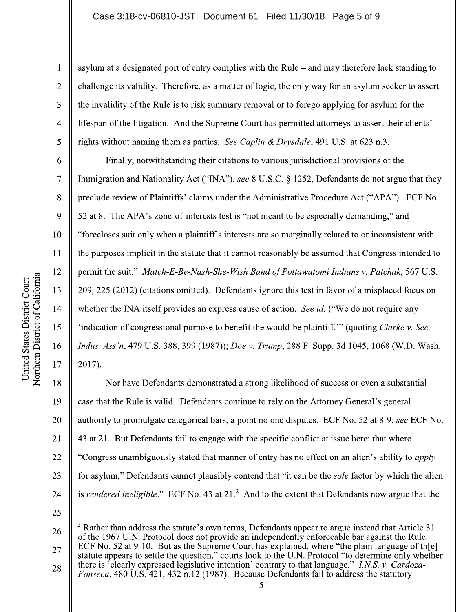## Case 3:18-cv-06810-JST Document 61 Filed 11/30/18 Page 5 of 9

asylum at a designated port of entry complies with the Rule – and may therefore lack standing to challenge its validity. Therefore, as a matter of logic, the only way for an asylum seeker to assert the invalidity of the Rule is to risk summary removal or to forego applying for asylum for the lifespan of the litigation. And the Supreme Court has permitted attorneys to assert their clients' rights without naming them as parties. See Caplin & Drysdale, 491 U.S. at 623 n.3.

Finally, notwithstanding their citations to various jurisdictional provisions of the Immigration and Nationality Act ("INA"), see 8 U.S.C. § 1252, Defendants do not argue that they preclude review of Plaintiffs' claims under the Administrative Procedure Act ("APA"). ECF No. 52 at 8. The APA's zone-of-interests test is "not meant to be especially demanding," and "forecloses suit only when a plaintiff's interests are so marginally related to or inconsistent with the purposes implicit in the statute that it cannot reasonably be assumed that Congress intended to permit the suit." Match-E-Be-Nash-She-Wish Band of Pottawatomi Indians v. Patchak, 567 U.S. 209, 225 (2012) (citations omitted). Defendants ignore this test in favor of a misplaced focus on whether the INA itself provides an express cause of action. See id. ("We do not require any 'indication of congressional purpose to benefit the would-be plaintiff." (quoting *Clarke v. Sec.* Indus. Ass'n, 479 U.S. 388, 399 (1987)); Doe v. Trump, 288 F. Supp. 3d 1045, 1068 (W.D. Wash. 2017).

18 Nor have Defendants demonstrated a strong likelihood of success or even a substantial 19 case that the Rule is valid. Defendants continue to rely on the Attorney General's general authority to promulgate categorical bars, a point no one disputes. ECF No. 52 at 8-9; see ECF No. 20 43 at 21. But Defendants fail to engage with the specific conflict at issue here: that where 21 22 "Congress unambiguously stated that manner of entry has no effect on an alien's ability to *apply* 23 for asylum," Defendants cannot plausibly contend that "it can be the *sole* factor by which the alien is *rendered ineligible.*" ECF No. 43 at  $21<sup>2</sup>$  And to the extent that Defendants now argue that the 24

25

 $\mathbf{1}$ 

 $\overline{2}$ 

3

 $\overline{4}$ 

5

6

 $\overline{7}$ 

8

9

10

11

12

13

14

15

16

 $2$  Rather than address the statute's own terms, Defendants appear to argue instead that Article 31 26 of the 1967 U.N. Protocol does not provide an independently enforceable bar against the Rule. ECF No. 52 at 9-10. But as the Supreme Court has explained, where "the plain language of the 27 statute appears to settle the question," courts look to the U.N. Protocol "to determine only whether

there is 'clearly expressed legislative intention' contrary to that language." I.N.S. v. Cardoza-28 *Fonseca*, 480 U.S. 421, 432 n.12 (1987). Because Defendants fail to address the statutory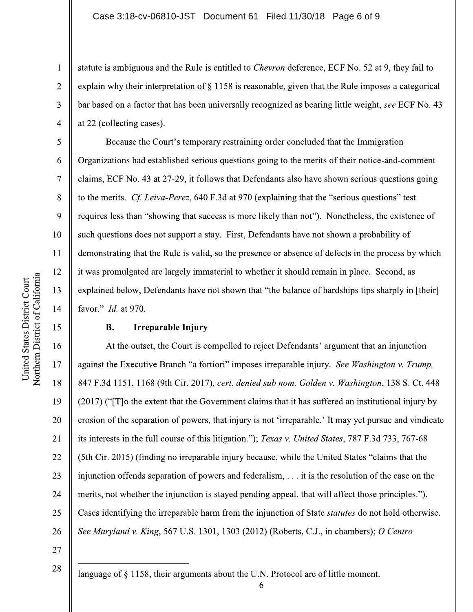statute is ambiguous and the Rule is entitled to *Chevron* deference, ECF No. 52 at 9, they fail to explain why their interpretation of § 1158 is reasonable, given that the Rule imposes a categorical bar based on a factor that has been universally recognized as bearing little weight, see ECF No. 43 at 22 (collecting cases).

Because the Court's temporary restraining order concluded that the Immigration Organizations had established serious questions going to the merits of their notice-and-comment claims, ECF No. 43 at 27-29, it follows that Defendants also have shown serious questions going to the merits. Cf. Leiva-Perez, 640 F.3d at 970 (explaining that the "serious questions" test requires less than "showing that success is more likely than not"). Nonetheless, the existence of such questions does not support a stay. First, Defendants have not shown a probability of demonstrating that the Rule is valid, so the presence or absence of defects in the process by which it was promulgated are largely immaterial to whether it should remain in place. Second, as explained below, Defendants have not shown that "the balance of hardships tips sharply in [their] favor." *Id.* at 970.

## **B. Irreparable Injury**

At the outset, the Court is compelled to reject Defendants' argument that an injunction against the Executive Branch "a fortiori" imposes irreparable injury. See Washington v. Trump, 847 F.3d 1151, 1168 (9th Cir. 2017), cert. denied sub nom. Golden v. Washington, 138 S. Ct. 448 (2017) ("To the extent that the Government claims that it has suffered an institutional injury by erosion of the separation of powers, that injury is not 'irreparable.' It may yet pursue and vindicate its interests in the full course of this litigation."); Texas v. United States, 787 F.3d 733, 767-68 (5th Cir. 2015) (finding no irreparable injury because, while the United States "claims that the injunction offends separation of powers and federalism, ... it is the resolution of the case on the merits, not whether the injunction is stayed pending appeal, that will affect those principles."). Cases identifying the irreparable harm from the injunction of State *statutes* do not hold otherwise. See Maryland v. King, 567 U.S. 1301, 1303 (2012) (Roberts, C.J., in chambers); O Centro

6

27

28

language of § 1158, their arguments about the U.N. Protocol are of little moment.

 $\mathbf{1}$ 

 $\overline{2}$ 

3

 $\overline{4}$ 

5

6

 $\overline{7}$ 

8

9

10

11

12

13

14

15

16

17

18

19

20

21

22

23

24

25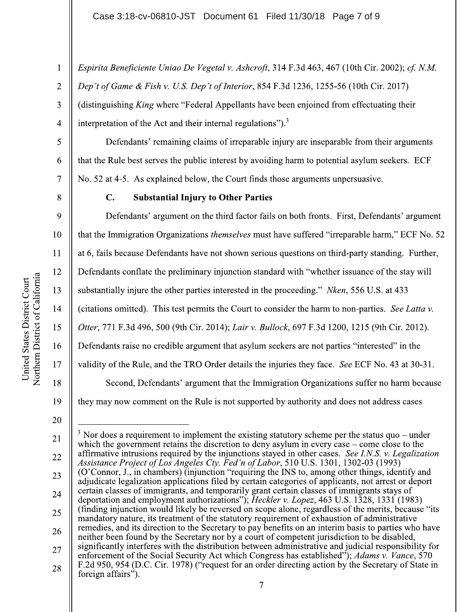Espirita Beneficiente Uniao De Vegetal v. Ashcroft, 314 F.3d 463, 467 (10th Cir. 2002); cf. N.M. Dep't of Game & Fish v. U.S. Dep't of Interior, 854 F.3d 1236, 1255-56 (10th Cir. 2017) (distinguishing King where "Federal Appellants have been enjoined from effectuating their interpretation of the Act and their internal regulations").<sup>3</sup>  $\overline{4}$ 

Defendants' remaining claims of irreparable injury are inseparable from their arguments that the Rule best serves the public interest by avoiding harm to potential asylum seekers. ECF No. 52 at 4-5. As explained below, the Court finds those arguments unpersuasive.

 $\mathbf{1}$ 

 $\overline{2}$ 

3

5

6

 $\overline{7}$ 

8

9

10

11

12

13

14

15

16

17

18

## $\mathbf{C}$ . **Substantial Injury to Other Parties**

Defendants' argument on the third factor fails on both fronts. First, Defendants' argument that the Immigration Organizations *themselves* must have suffered "irreparable harm," ECF No. 52 at 6, fails because Defendants have not shown serious questions on third-party standing. Further, Defendants conflate the preliminary injunction standard with "whether issuance of the stay will substantially injure the other parties interested in the proceeding." Nken, 556 U.S. at 433 (citations omitted). This test permits the Court to consider the harm to non-parties. See Latta v. Otter, 771 F.3d 496, 500 (9th Cir. 2014); Lair v. Bullock, 697 F.3d 1200, 1215 (9th Cir. 2012). Defendants raise no credible argument that asylum seekers are not parties "interested" in the validity of the Rule, and the TRO Order details the injuries they face. See ECF No. 43 at 30-31. Second, Defendants' argument that the Immigration Organizations suffer no harm because they may now comment on the Rule is not supported by authority and does not address cases

 $3$  Nor does a requirement to implement the existing statutory scheme per the status quo – under 21 which the government retains the discretion to deny asylum in every case – come close to the affirmative intrusions required by the injunctions stayed in other cases. See I.N.S. v. Legalization 22 Assistance Project of Los Angeles Cty. Fed'n of Labor, 510 U.S. 1301, 1302-03 (1993) (O'Connor, J., in chambers) (injunction "requiring the INS to, among other things, identify and 23 adjudicate legalization applications filed by certain categories of applicants, not arrest or deport certain classes of immigrants, and temporarily grant certain classes of immigrants stays of 24 deportation and employment authorizations"); Heckler v. Lopez, 463 U.S. 1328, 1331 (1983) (finding injunction would likely be reversed on scope alone, regardless of the merits, because "its") 25 mandatory nature, its treatment of the statutory requirement of exhaustion of administrative remedies, and its direction to the Secretary to pay benefits on an interim basis to parties who have 26 neither been found by the Secretary nor by a court of competent jurisdiction to be disabled,

significantly interferes with the distribution between administrative and judicial responsibility for 27 enforcement of the Social Security Act which Congress has established"); Adams v. Vance, 570 F.2d 950, 954 (D.C. Cir. 1978) ("request for an order directing action by the Secretary of State in 28 foreign affairs").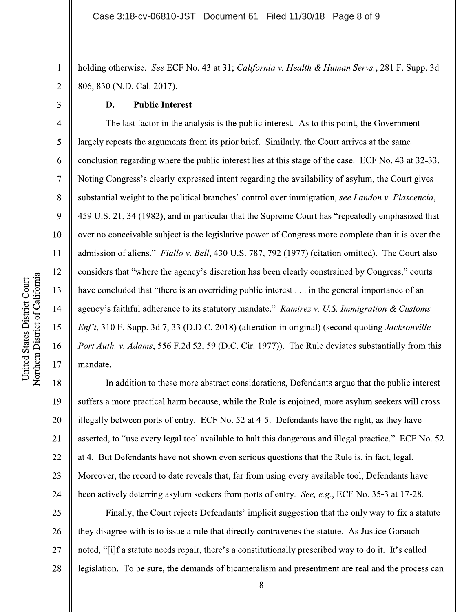holding otherwise. See ECF No. 43 at 31; California v. Health & Human Servs., 281 F. Supp. 3d 806, 830 (N.D. Cal. 2017).

### D. **Public Interest**

The last factor in the analysis is the public interest. As to this point, the Government largely repeats the arguments from its prior brief. Similarly, the Court arrives at the same conclusion regarding where the public interest lies at this stage of the case. ECF No. 43 at 32-33. Noting Congress's clearly-expressed intent regarding the availability of asylum, the Court gives substantial weight to the political branches' control over immigration, see Landon v. Plascencia, 459 U.S. 21, 34 (1982), and in particular that the Supreme Court has "repeatedly emphasized that over no conceivable subject is the legislative power of Congress more complete than it is over the admission of aliens." Fiallo v. Bell, 430 U.S. 787, 792 (1977) (citation omitted). The Court also considers that "where the agency's discretion has been clearly constrained by Congress," courts have concluded that "there is an overriding public interest... in the general importance of an agency's faithful adherence to its statutory mandate." Ramirez v. U.S. Immigration & Customs *Enf't*, 310 F. Supp. 3d 7, 33 (D.D.C. 2018) (alteration in original) (second quoting *Jacksonville* Port Auth. v. Adams, 556 F.2d 52, 59 (D.C. Cir. 1977)). The Rule deviates substantially from this mandate.

18 In addition to these more abstract considerations, Defendants argue that the public interest 19 suffers a more practical harm because, while the Rule is enjoined, more asylum seekers will cross 20 illegally between ports of entry. ECF No. 52 at 4-5. Defendants have the right, as they have 21 asserted, to "use every legal tool available to halt this dangerous and illegal practice." ECF No. 52 22 at 4. But Defendants have not shown even serious questions that the Rule is, in fact, legal. 23 Moreover, the record to date reveals that, far from using every available tool, Defendants have 24 been actively deterring asylum seekers from ports of entry. See, e.g., ECF No. 35-3 at 17-28.

25 Finally, the Court rejects Defendants' implicit suggestion that the only way to fix a statute they disagree with is to issue a rule that directly contravenes the statute. As Justice Gorsuch 26 27 noted, "[i] f a statute needs repair, there's a constitutionally prescribed way to do it. It's called 28 legislation. To be sure, the demands of bicameralism and presentment are real and the process can

 $\mathbf{1}$ 

 $\overline{2}$ 

3

 $\overline{4}$ 

5

6

 $\overline{7}$ 

8

9

10

 $11$ 

12

13

14

15

16